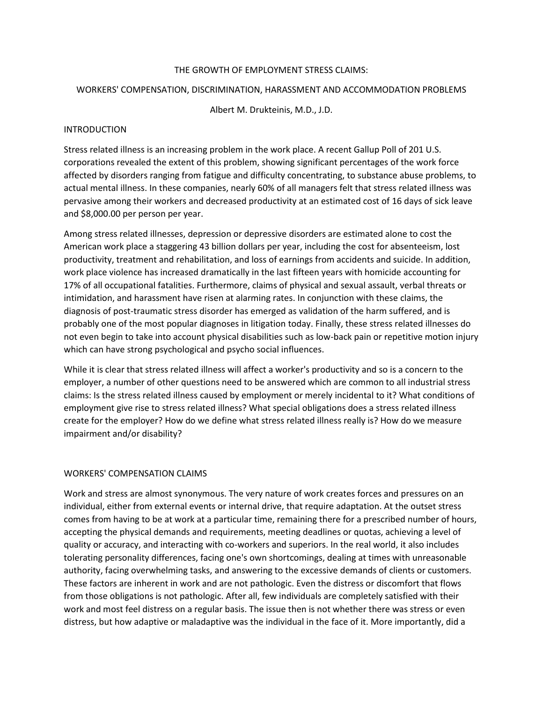## THE GROWTH OF EMPLOYMENT STRESS CLAIMS:

### WORKERS' COMPENSATION, DISCRIMINATION, HARASSMENT AND ACCOMMODATION PROBLEMS

Albert M. Drukteinis, M.D., J.D.

## INTRODUCTION

Stress related illness is an increasing problem in the work place. A recent Gallup Poll of 201 U.S. corporations revealed the extent of this problem, showing significant percentages of the work force affected by disorders ranging from fatigue and difficulty concentrating, to substance abuse problems, to actual mental illness. In these companies, nearly 60% of all managers felt that stress related illness was pervasive among their workers and decreased productivity at an estimated cost of 16 days of sick leave and \$8,000.00 per person per year.

Among stress related illnesses, depression or depressive disorders are estimated alone to cost the American work place a staggering 43 billion dollars per year, including the cost for absenteeism, lost productivity, treatment and rehabilitation, and loss of earnings from accidents and suicide. In addition, work place violence has increased dramatically in the last fifteen years with homicide accounting for 17% of all occupational fatalities. Furthermore, claims of physical and sexual assault, verbal threats or intimidation, and harassment have risen at alarming rates. In conjunction with these claims, the diagnosis of post-traumatic stress disorder has emerged as validation of the harm suffered, and is probably one of the most popular diagnoses in litigation today. Finally, these stress related illnesses do not even begin to take into account physical disabilities such as low-back pain or repetitive motion injury which can have strong psychological and psycho social influences.

While it is clear that stress related illness will affect a worker's productivity and so is a concern to the employer, a number of other questions need to be answered which are common to all industrial stress claims: Is the stress related illness caused by employment or merely incidental to it? What conditions of employment give rise to stress related illness? What special obligations does a stress related illness create for the employer? How do we define what stress related illness really is? How do we measure impairment and/or disability?

# WORKERS' COMPENSATION CLAIMS

Work and stress are almost synonymous. The very nature of work creates forces and pressures on an individual, either from external events or internal drive, that require adaptation. At the outset stress comes from having to be at work at a particular time, remaining there for a prescribed number of hours, accepting the physical demands and requirements, meeting deadlines or quotas, achieving a level of quality or accuracy, and interacting with co-workers and superiors. In the real world, it also includes tolerating personality differences, facing one's own shortcomings, dealing at times with unreasonable authority, facing overwhelming tasks, and answering to the excessive demands of clients or customers. These factors are inherent in work and are not pathologic. Even the distress or discomfort that flows from those obligations is not pathologic. After all, few individuals are completely satisfied with their work and most feel distress on a regular basis. The issue then is not whether there was stress or even distress, but how adaptive or maladaptive was the individual in the face of it. More importantly, did a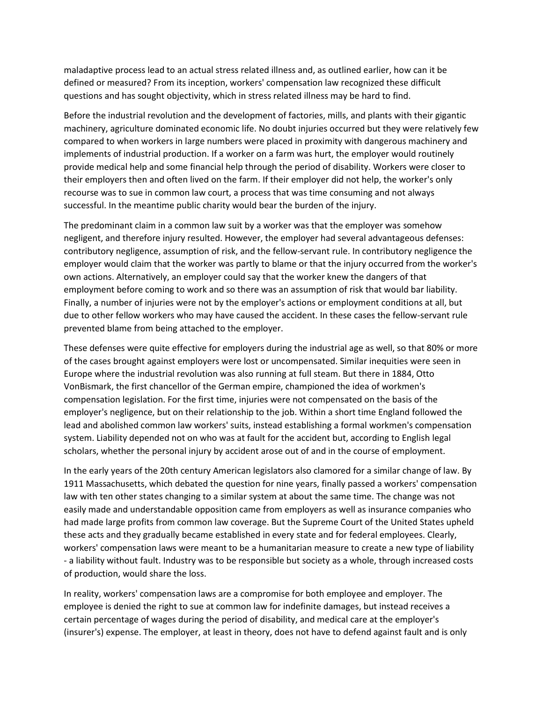maladaptive process lead to an actual stress related illness and, as outlined earlier, how can it be defined or measured? From its inception, workers' compensation law recognized these difficult questions and has sought objectivity, which in stress related illness may be hard to find.

Before the industrial revolution and the development of factories, mills, and plants with their gigantic machinery, agriculture dominated economic life. No doubt injuries occurred but they were relatively few compared to when workers in large numbers were placed in proximity with dangerous machinery and implements of industrial production. If a worker on a farm was hurt, the employer would routinely provide medical help and some financial help through the period of disability. Workers were closer to their employers then and often lived on the farm. If their employer did not help, the worker's only recourse was to sue in common law court, a process that was time consuming and not always successful. In the meantime public charity would bear the burden of the injury.

The predominant claim in a common law suit by a worker was that the employer was somehow negligent, and therefore injury resulted. However, the employer had several advantageous defenses: contributory negligence, assumption of risk, and the fellow-servant rule. In contributory negligence the employer would claim that the worker was partly to blame or that the injury occurred from the worker's own actions. Alternatively, an employer could say that the worker knew the dangers of that employment before coming to work and so there was an assumption of risk that would bar liability. Finally, a number of injuries were not by the employer's actions or employment conditions at all, but due to other fellow workers who may have caused the accident. In these cases the fellow-servant rule prevented blame from being attached to the employer.

These defenses were quite effective for employers during the industrial age as well, so that 80% or more of the cases brought against employers were lost or uncompensated. Similar inequities were seen in Europe where the industrial revolution was also running at full steam. But there in 1884, Otto VonBismark, the first chancellor of the German empire, championed the idea of workmen's compensation legislation. For the first time, injuries were not compensated on the basis of the employer's negligence, but on their relationship to the job. Within a short time England followed the lead and abolished common law workers' suits, instead establishing a formal workmen's compensation system. Liability depended not on who was at fault for the accident but, according to English legal scholars, whether the personal injury by accident arose out of and in the course of employment.

In the early years of the 20th century American legislators also clamored for a similar change of law. By 1911 Massachusetts, which debated the question for nine years, finally passed a workers' compensation law with ten other states changing to a similar system at about the same time. The change was not easily made and understandable opposition came from employers as well as insurance companies who had made large profits from common law coverage. But the Supreme Court of the United States upheld these acts and they gradually became established in every state and for federal employees. Clearly, workers' compensation laws were meant to be a humanitarian measure to create a new type of liability - a liability without fault. Industry was to be responsible but society as a whole, through increased costs of production, would share the loss.

In reality, workers' compensation laws are a compromise for both employee and employer. The employee is denied the right to sue at common law for indefinite damages, but instead receives a certain percentage of wages during the period of disability, and medical care at the employer's (insurer's) expense. The employer, at least in theory, does not have to defend against fault and is only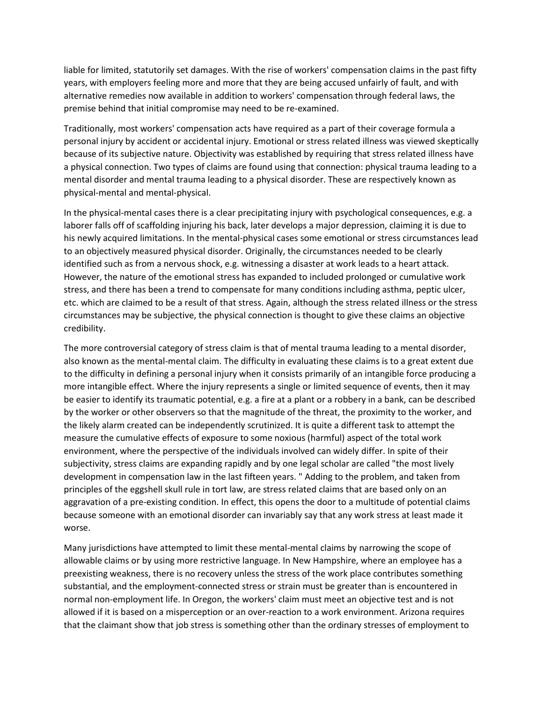liable for limited, statutorily set damages. With the rise of workers' compensation claims in the past fifty years, with employers feeling more and more that they are being accused unfairly of fault, and with alternative remedies now available in addition to workers' compensation through federal laws, the premise behind that initial compromise may need to be re-examined.

Traditionally, most workers' compensation acts have required as a part of their coverage formula a personal injury by accident or accidental injury. Emotional or stress related illness was viewed skeptically because of its subjective nature. Objectivity was established by requiring that stress related illness have a physical connection. Two types of claims are found using that connection: physical trauma leading to a mental disorder and mental trauma leading to a physical disorder. These are respectively known as physical-mental and mental-physical.

In the physical-mental cases there is a clear precipitating injury with psychological consequences, e.g. a laborer falls off of scaffolding injuring his back, later develops a major depression, claiming it is due to his newly acquired limitations. In the mental-physical cases some emotional or stress circumstances lead to an objectively measured physical disorder. Originally, the circumstances needed to be clearly identified such as from a nervous shock, e.g. witnessing a disaster at work leads to a heart attack. However, the nature of the emotional stress has expanded to included prolonged or cumulative work stress, and there has been a trend to compensate for many conditions including asthma, peptic ulcer, etc. which are claimed to be a result of that stress. Again, although the stress related illness or the stress circumstances may be subjective, the physical connection is thought to give these claims an objective credibility.

The more controversial category of stress claim is that of mental trauma leading to a mental disorder, also known as the mental-mental claim. The difficulty in evaluating these claims is to a great extent due to the difficulty in defining a personal injury when it consists primarily of an intangible force producing a more intangible effect. Where the injury represents a single or limited sequence of events, then it may be easier to identify its traumatic potential, e.g. a fire at a plant or a robbery in a bank, can be described by the worker or other observers so that the magnitude of the threat, the proximity to the worker, and the likely alarm created can be independently scrutinized. It is quite a different task to attempt the measure the cumulative effects of exposure to some noxious (harmful) aspect of the total work environment, where the perspective of the individuals involved can widely differ. In spite of their subjectivity, stress claims are expanding rapidly and by one legal scholar are called "the most lively development in compensation law in the last fifteen years. " Adding to the problem, and taken from principles of the eggshell skull rule in tort law, are stress related claims that are based only on an aggravation of a pre-existing condition. In effect, this opens the door to a multitude of potential claims because someone with an emotional disorder can invariably say that any work stress at least made it worse.

Many jurisdictions have attempted to limit these mental-mental claims by narrowing the scope of allowable claims or by using more restrictive language. In New Hampshire, where an employee has a preexisting weakness, there is no recovery unless the stress of the work place contributes something substantial, and the employment-connected stress or strain must be greater than is encountered in normal non-employment life. In Oregon, the workers' claim must meet an objective test and is not allowed if it is based on a misperception or an over-reaction to a work environment. Arizona requires that the claimant show that job stress is something other than the ordinary stresses of employment to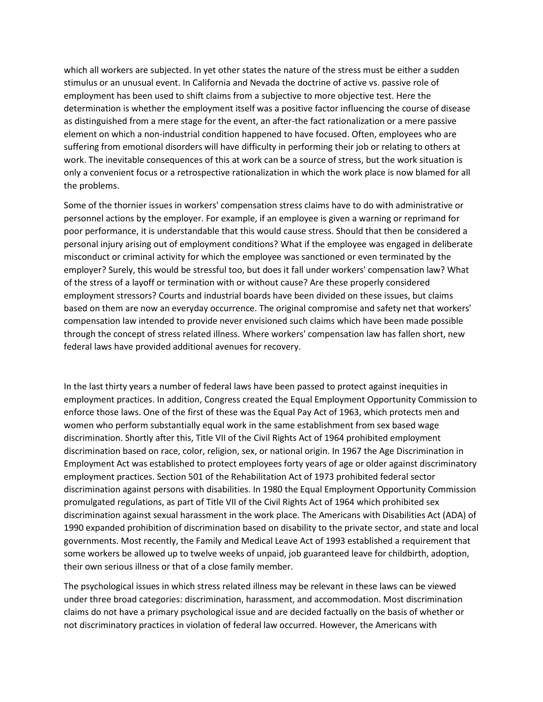which all workers are subjected. In yet other states the nature of the stress must be either a sudden stimulus or an unusual event. In California and Nevada the doctrine of active vs. passive role of employment has been used to shift claims from a subjective to more objective test. Here the determination is whether the employment itself was a positive factor influencing the course of disease as distinguished from a mere stage for the event, an after-the fact rationalization or a mere passive element on which a non-industrial condition happened to have focused. Often, employees who are suffering from emotional disorders will have difficulty in performing their job or relating to others at work. The inevitable consequences of this at work can be a source of stress, but the work situation is only a convenient focus or a retrospective rationalization in which the work place is now blamed for all the problems.

Some of the thornier issues in workers' compensation stress claims have to do with administrative or personnel actions by the employer. For example, if an employee is given a warning or reprimand for poor performance, it is understandable that this would cause stress. Should that then be considered a personal injury arising out of employment conditions? What if the employee was engaged in deliberate misconduct or criminal activity for which the employee was sanctioned or even terminated by the employer? Surely, this would be stressful too, but does it fall under workers' compensation law? What of the stress of a layoff or termination with or without cause? Are these properly considered employment stressors? Courts and industrial boards have been divided on these issues, but claims based on them are now an everyday occurrence. The original compromise and safety net that workers' compensation law intended to provide never envisioned such claims which have been made possible through the concept of stress related illness. Where workers' compensation law has fallen short, new federal laws have provided additional avenues for recovery.

In the last thirty years a number of federal laws have been passed to protect against inequities in employment practices. In addition, Congress created the Equal Employment Opportunity Commission to enforce those laws. One of the first of these was the Equal Pay Act of 1963, which protects men and women who perform substantially equal work in the same establishment from sex based wage discrimination. Shortly after this, Title VII of the Civil Rights Act of 1964 prohibited employment discrimination based on race, color, religion, sex, or national origin. In 1967 the Age Discrimination in Employment Act was established to protect employees forty years of age or older against discriminatory employment practices. Section 501 of the Rehabilitation Act of 1973 prohibited federal sector discrimination against persons with disabilities. In 1980 the Equal Employment Opportunity Commission promulgated regulations, as part of Title VII of the Civil Rights Act of 1964 which prohibited sex discrimination against sexual harassment in the work place. The Americans with Disabilities Act (ADA) of 1990 expanded prohibition of discrimination based on disability to the private sector, and state and local governments. Most recently, the Family and Medical Leave Act of 1993 established a requirement that some workers be allowed up to twelve weeks of unpaid, job guaranteed leave for childbirth, adoption, their own serious illness or that of a close family member.

The psychological issues in which stress related illness may be relevant in these laws can be viewed under three broad categories: discrimination, harassment, and accommodation. Most discrimination claims do not have a primary psychological issue and are decided factually on the basis of whether or not discriminatory practices in violation of federal law occurred. However, the Americans with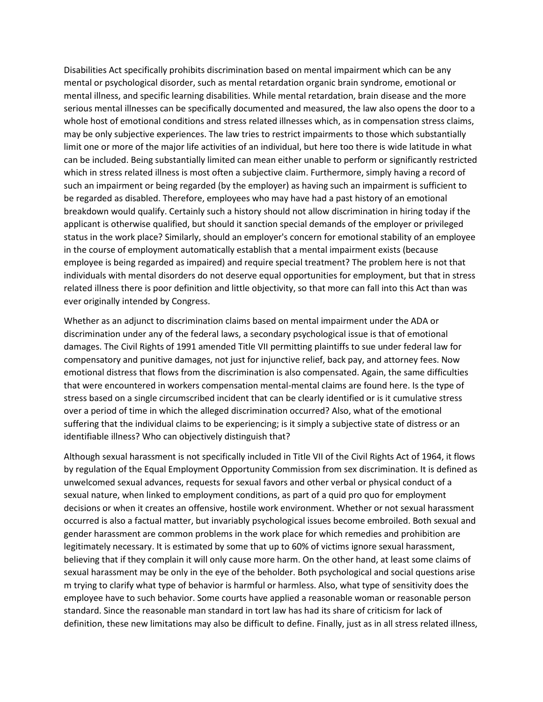Disabilities Act specifically prohibits discrimination based on mental impairment which can be any mental or psychological disorder, such as mental retardation organic brain syndrome, emotional or mental illness, and specific learning disabilities. While mental retardation, brain disease and the more serious mental illnesses can be specifically documented and measured, the law also opens the door to a whole host of emotional conditions and stress related illnesses which, as in compensation stress claims, may be only subjective experiences. The law tries to restrict impairments to those which substantially limit one or more of the major life activities of an individual, but here too there is wide latitude in what can be included. Being substantially limited can mean either unable to perform or significantly restricted which in stress related illness is most often a subjective claim. Furthermore, simply having a record of such an impairment or being regarded (by the employer) as having such an impairment is sufficient to be regarded as disabled. Therefore, employees who may have had a past history of an emotional breakdown would qualify. Certainly such a history should not allow discrimination in hiring today if the applicant is otherwise qualified, but should it sanction special demands of the employer or privileged status in the work place? Similarly, should an employer's concern for emotional stability of an employee in the course of employment automatically establish that a mental impairment exists (because employee is being regarded as impaired) and require special treatment? The problem here is not that individuals with mental disorders do not deserve equal opportunities for employment, but that in stress related illness there is poor definition and little objectivity, so that more can fall into this Act than was ever originally intended by Congress.

Whether as an adjunct to discrimination claims based on mental impairment under the ADA or discrimination under any of the federal laws, a secondary psychological issue is that of emotional damages. The Civil Rights of 1991 amended Title VII permitting plaintiffs to sue under federal law for compensatory and punitive damages, not just for injunctive relief, back pay, and attorney fees. Now emotional distress that flows from the discrimination is also compensated. Again, the same difficulties that were encountered in workers compensation mental-mental claims are found here. Is the type of stress based on a single circumscribed incident that can be clearly identified or is it cumulative stress over a period of time in which the alleged discrimination occurred? Also, what of the emotional suffering that the individual claims to be experiencing; is it simply a subjective state of distress or an identifiable illness? Who can objectively distinguish that?

Although sexual harassment is not specifically included in Title VII of the Civil Rights Act of 1964, it flows by regulation of the Equal Employment Opportunity Commission from sex discrimination. It is defined as unwelcomed sexual advances, requests for sexual favors and other verbal or physical conduct of a sexual nature, when linked to employment conditions, as part of a quid pro quo for employment decisions or when it creates an offensive, hostile work environment. Whether or not sexual harassment occurred is also a factual matter, but invariably psychological issues become embroiled. Both sexual and gender harassment are common problems in the work place for which remedies and prohibition are legitimately necessary. It is estimated by some that up to 60% of victims ignore sexual harassment, believing that if they complain it will only cause more harm. On the other hand, at least some claims of sexual harassment may be only in the eye of the beholder. Both psychological and social questions arise m trying to clarify what type of behavior is harmful or harmless. Also, what type of sensitivity does the employee have to such behavior. Some courts have applied a reasonable woman or reasonable person standard. Since the reasonable man standard in tort law has had its share of criticism for lack of definition, these new limitations may also be difficult to define. Finally, just as in all stress related illness,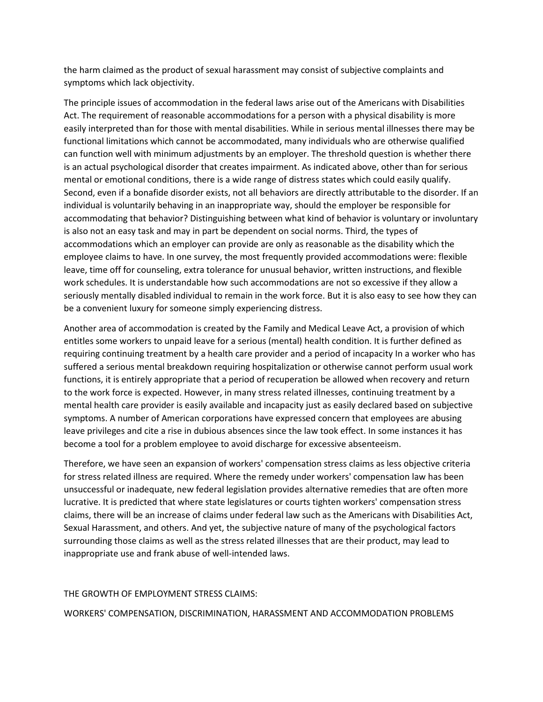the harm claimed as the product of sexual harassment may consist of subjective complaints and symptoms which lack objectivity.

The principle issues of accommodation in the federal laws arise out of the Americans with Disabilities Act. The requirement of reasonable accommodations for a person with a physical disability is more easily interpreted than for those with mental disabilities. While in serious mental illnesses there may be functional limitations which cannot be accommodated, many individuals who are otherwise qualified can function well with minimum adjustments by an employer. The threshold question is whether there is an actual psychological disorder that creates impairment. As indicated above, other than for serious mental or emotional conditions, there is a wide range of distress states which could easily qualify. Second, even if a bonafide disorder exists, not all behaviors are directly attributable to the disorder. If an individual is voluntarily behaving in an inappropriate way, should the employer be responsible for accommodating that behavior? Distinguishing between what kind of behavior is voluntary or involuntary is also not an easy task and may in part be dependent on social norms. Third, the types of accommodations which an employer can provide are only as reasonable as the disability which the employee claims to have. In one survey, the most frequently provided accommodations were: flexible leave, time off for counseling, extra tolerance for unusual behavior, written instructions, and flexible work schedules. It is understandable how such accommodations are not so excessive if they allow a seriously mentally disabled individual to remain in the work force. But it is also easy to see how they can be a convenient luxury for someone simply experiencing distress.

Another area of accommodation is created by the Family and Medical Leave Act, a provision of which entitles some workers to unpaid leave for a serious (mental) health condition. It is further defined as requiring continuing treatment by a health care provider and a period of incapacity In a worker who has suffered a serious mental breakdown requiring hospitalization or otherwise cannot perform usual work functions, it is entirely appropriate that a period of recuperation be allowed when recovery and return to the work force is expected. However, in many stress related illnesses, continuing treatment by a mental health care provider is easily available and incapacity just as easily declared based on subjective symptoms. A number of American corporations have expressed concern that employees are abusing leave privileges and cite a rise in dubious absences since the law took effect. In some instances it has become a tool for a problem employee to avoid discharge for excessive absenteeism.

Therefore, we have seen an expansion of workers' compensation stress claims as less objective criteria for stress related illness are required. Where the remedy under workers' compensation law has been unsuccessful or inadequate, new federal legislation provides alternative remedies that are often more lucrative. It is predicted that where state legislatures or courts tighten workers' compensation stress claims, there will be an increase of claims under federal law such as the Americans with Disabilities Act, Sexual Harassment, and others. And yet, the subjective nature of many of the psychological factors surrounding those claims as well as the stress related illnesses that are their product, may lead to inappropriate use and frank abuse of well-intended laws.

# THE GROWTH OF EMPLOYMENT STRESS CLAIMS:

WORKERS' COMPENSATION, DISCRIMINATION, HARASSMENT AND ACCOMMODATION PROBLEMS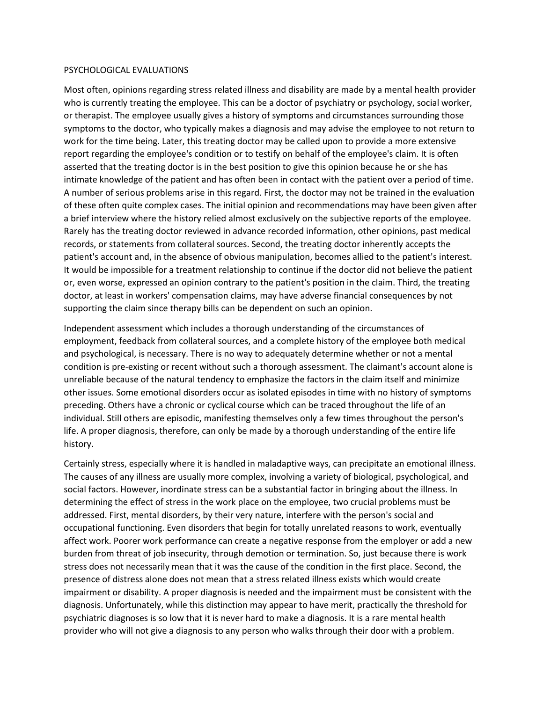#### PSYCHOLOGICAL EVALUATIONS

Most often, opinions regarding stress related illness and disability are made by a mental health provider who is currently treating the employee. This can be a doctor of psychiatry or psychology, social worker, or therapist. The employee usually gives a history of symptoms and circumstances surrounding those symptoms to the doctor, who typically makes a diagnosis and may advise the employee to not return to work for the time being. Later, this treating doctor may be called upon to provide a more extensive report regarding the employee's condition or to testify on behalf of the employee's claim. It is often asserted that the treating doctor is in the best position to give this opinion because he or she has intimate knowledge of the patient and has often been in contact with the patient over a period of time. A number of serious problems arise in this regard. First, the doctor may not be trained in the evaluation of these often quite complex cases. The initial opinion and recommendations may have been given after a brief interview where the history relied almost exclusively on the subjective reports of the employee. Rarely has the treating doctor reviewed in advance recorded information, other opinions, past medical records, or statements from collateral sources. Second, the treating doctor inherently accepts the patient's account and, in the absence of obvious manipulation, becomes allied to the patient's interest. It would be impossible for a treatment relationship to continue if the doctor did not believe the patient or, even worse, expressed an opinion contrary to the patient's position in the claim. Third, the treating doctor, at least in workers' compensation claims, may have adverse financial consequences by not supporting the claim since therapy bills can be dependent on such an opinion.

Independent assessment which includes a thorough understanding of the circumstances of employment, feedback from collateral sources, and a complete history of the employee both medical and psychological, is necessary. There is no way to adequately determine whether or not a mental condition is pre-existing or recent without such a thorough assessment. The claimant's account alone is unreliable because of the natural tendency to emphasize the factors in the claim itself and minimize other issues. Some emotional disorders occur as isolated episodes in time with no history of symptoms preceding. Others have a chronic or cyclical course which can be traced throughout the life of an individual. Still others are episodic, manifesting themselves only a few times throughout the person's life. A proper diagnosis, therefore, can only be made by a thorough understanding of the entire life history.

Certainly stress, especially where it is handled in maladaptive ways, can precipitate an emotional illness. The causes of any illness are usually more complex, involving a variety of biological, psychological, and social factors. However, inordinate stress can be a substantial factor in bringing about the illness. In determining the effect of stress in the work place on the employee, two crucial problems must be addressed. First, mental disorders, by their very nature, interfere with the person's social and occupational functioning. Even disorders that begin for totally unrelated reasons to work, eventually affect work. Poorer work performance can create a negative response from the employer or add a new burden from threat of job insecurity, through demotion or termination. So, just because there is work stress does not necessarily mean that it was the cause of the condition in the first place. Second, the presence of distress alone does not mean that a stress related illness exists which would create impairment or disability. A proper diagnosis is needed and the impairment must be consistent with the diagnosis. Unfortunately, while this distinction may appear to have merit, practically the threshold for psychiatric diagnoses is so low that it is never hard to make a diagnosis. It is a rare mental health provider who will not give a diagnosis to any person who walks through their door with a problem.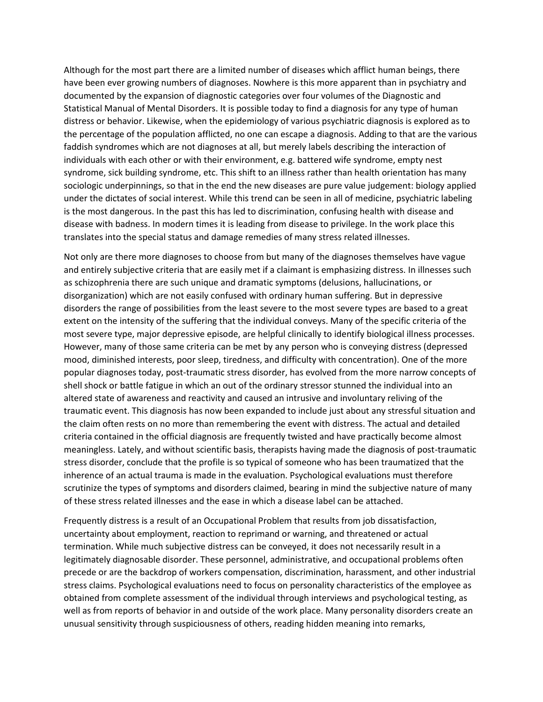Although for the most part there are a limited number of diseases which afflict human beings, there have been ever growing numbers of diagnoses. Nowhere is this more apparent than in psychiatry and documented by the expansion of diagnostic categories over four volumes of the Diagnostic and Statistical Manual of Mental Disorders. It is possible today to find a diagnosis for any type of human distress or behavior. Likewise, when the epidemiology of various psychiatric diagnosis is explored as to the percentage of the population afflicted, no one can escape a diagnosis. Adding to that are the various faddish syndromes which are not diagnoses at all, but merely labels describing the interaction of individuals with each other or with their environment, e.g. battered wife syndrome, empty nest syndrome, sick building syndrome, etc. This shift to an illness rather than health orientation has many sociologic underpinnings, so that in the end the new diseases are pure value judgement: biology applied under the dictates of social interest. While this trend can be seen in all of medicine, psychiatric labeling is the most dangerous. In the past this has led to discrimination, confusing health with disease and disease with badness. In modern times it is leading from disease to privilege. In the work place this translates into the special status and damage remedies of many stress related illnesses.

Not only are there more diagnoses to choose from but many of the diagnoses themselves have vague and entirely subjective criteria that are easily met if a claimant is emphasizing distress. In illnesses such as schizophrenia there are such unique and dramatic symptoms (delusions, hallucinations, or disorganization) which are not easily confused with ordinary human suffering. But in depressive disorders the range of possibilities from the least severe to the most severe types are based to a great extent on the intensity of the suffering that the individual conveys. Many of the specific criteria of the most severe type, major depressive episode, are helpful clinically to identify biological illness processes. However, many of those same criteria can be met by any person who is conveying distress (depressed mood, diminished interests, poor sleep, tiredness, and difficulty with concentration). One of the more popular diagnoses today, post-traumatic stress disorder, has evolved from the more narrow concepts of shell shock or battle fatigue in which an out of the ordinary stressor stunned the individual into an altered state of awareness and reactivity and caused an intrusive and involuntary reliving of the traumatic event. This diagnosis has now been expanded to include just about any stressful situation and the claim often rests on no more than remembering the event with distress. The actual and detailed criteria contained in the official diagnosis are frequently twisted and have practically become almost meaningless. Lately, and without scientific basis, therapists having made the diagnosis of post-traumatic stress disorder, conclude that the profile is so typical of someone who has been traumatized that the inherence of an actual trauma is made in the evaluation. Psychological evaluations must therefore scrutinize the types of symptoms and disorders claimed, bearing in mind the subjective nature of many of these stress related illnesses and the ease in which a disease label can be attached.

Frequently distress is a result of an Occupational Problem that results from job dissatisfaction, uncertainty about employment, reaction to reprimand or warning, and threatened or actual termination. While much subjective distress can be conveyed, it does not necessarily result in a legitimately diagnosable disorder. These personnel, administrative, and occupational problems often precede or are the backdrop of workers compensation, discrimination, harassment, and other industrial stress claims. Psychological evaluations need to focus on personality characteristics of the employee as obtained from complete assessment of the individual through interviews and psychological testing, as well as from reports of behavior in and outside of the work place. Many personality disorders create an unusual sensitivity through suspiciousness of others, reading hidden meaning into remarks,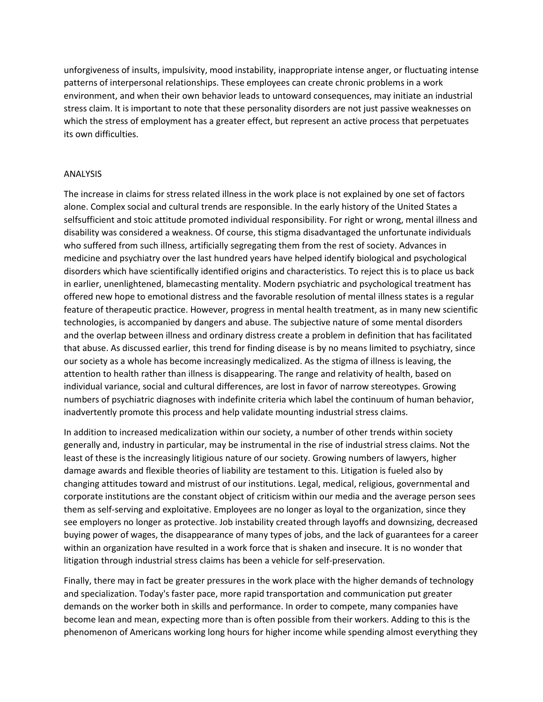unforgiveness of insults, impulsivity, mood instability, inappropriate intense anger, or fluctuating intense patterns of interpersonal relationships. These employees can create chronic problems in a work environment, and when their own behavior leads to untoward consequences, may initiate an industrial stress claim. It is important to note that these personality disorders are not just passive weaknesses on which the stress of employment has a greater effect, but represent an active process that perpetuates its own difficulties.

### ANALYSIS

The increase in claims for stress related illness in the work place is not explained by one set of factors alone. Complex social and cultural trends are responsible. In the early history of the United States a selfsufficient and stoic attitude promoted individual responsibility. For right or wrong, mental illness and disability was considered a weakness. Of course, this stigma disadvantaged the unfortunate individuals who suffered from such illness, artificially segregating them from the rest of society. Advances in medicine and psychiatry over the last hundred years have helped identify biological and psychological disorders which have scientifically identified origins and characteristics. To reject this is to place us back in earlier, unenlightened, blamecasting mentality. Modern psychiatric and psychological treatment has offered new hope to emotional distress and the favorable resolution of mental illness states is a regular feature of therapeutic practice. However, progress in mental health treatment, as in many new scientific technologies, is accompanied by dangers and abuse. The subjective nature of some mental disorders and the overlap between illness and ordinary distress create a problem in definition that has facilitated that abuse. As discussed earlier, this trend for finding disease is by no means limited to psychiatry, since our society as a whole has become increasingly medicalized. As the stigma of illness is leaving, the attention to health rather than illness is disappearing. The range and relativity of health, based on individual variance, social and cultural differences, are lost in favor of narrow stereotypes. Growing numbers of psychiatric diagnoses with indefinite criteria which label the continuum of human behavior, inadvertently promote this process and help validate mounting industrial stress claims.

In addition to increased medicalization within our society, a number of other trends within society generally and, industry in particular, may be instrumental in the rise of industrial stress claims. Not the least of these is the increasingly litigious nature of our society. Growing numbers of lawyers, higher damage awards and flexible theories of liability are testament to this. Litigation is fueled also by changing attitudes toward and mistrust of our institutions. Legal, medical, religious, governmental and corporate institutions are the constant object of criticism within our media and the average person sees them as self-serving and exploitative. Employees are no longer as loyal to the organization, since they see employers no longer as protective. Job instability created through layoffs and downsizing, decreased buying power of wages, the disappearance of many types of jobs, and the lack of guarantees for a career within an organization have resulted in a work force that is shaken and insecure. It is no wonder that litigation through industrial stress claims has been a vehicle for self-preservation.

Finally, there may in fact be greater pressures in the work place with the higher demands of technology and specialization. Today's faster pace, more rapid transportation and communication put greater demands on the worker both in skills and performance. In order to compete, many companies have become lean and mean, expecting more than is often possible from their workers. Adding to this is the phenomenon of Americans working long hours for higher income while spending almost everything they